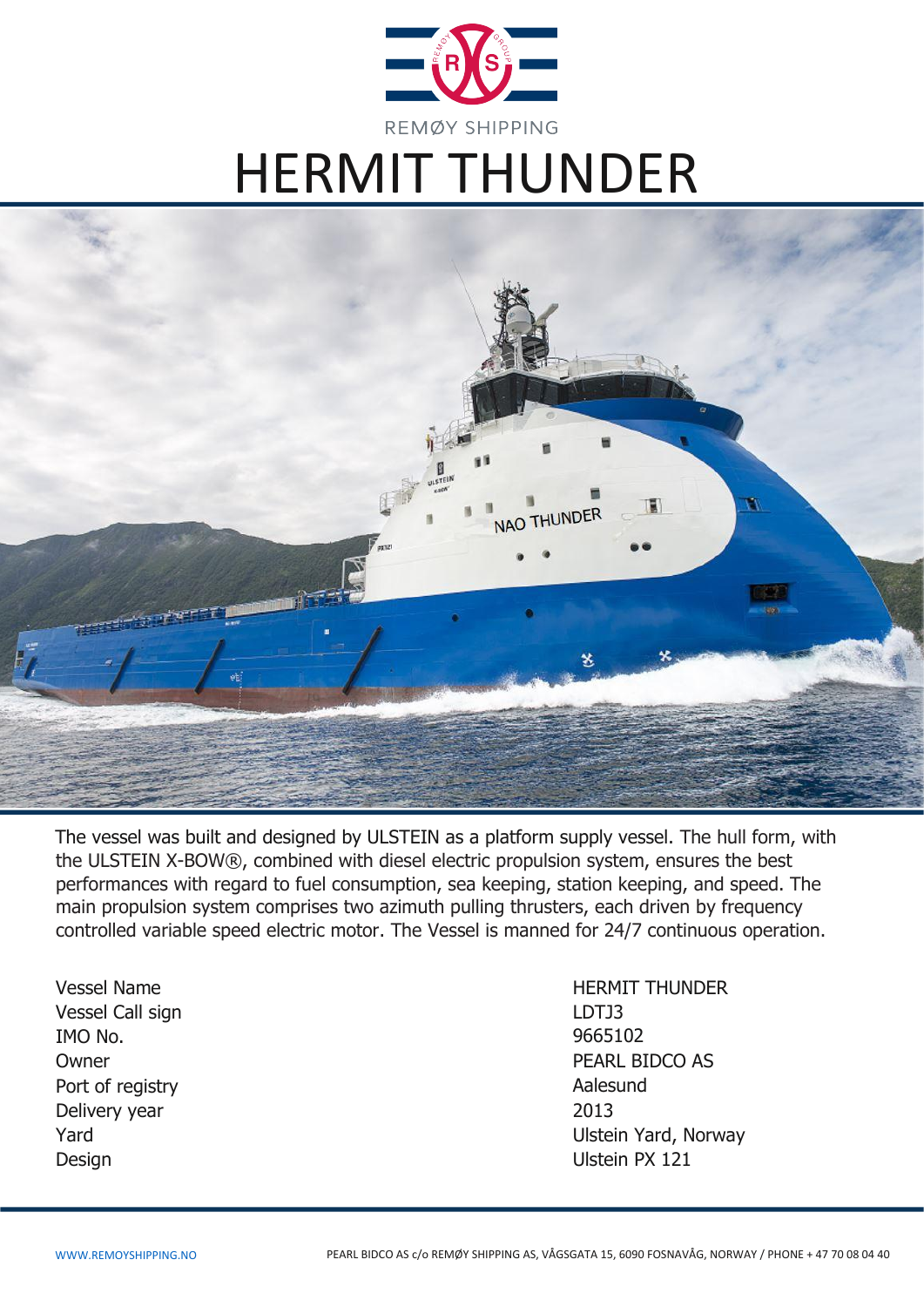

# HERMIT THUNDER



The vessel was built and designed by ULSTEIN as a platform supply vessel. The hull form, with the ULSTEIN X-BOW®, combined with diesel electric propulsion system, ensures the best performances with regard to fuel consumption, sea keeping, station keeping, and speed. The main propulsion system comprises two azimuth pulling thrusters, each driven by frequency controlled variable speed electric motor. The Vessel is manned for 24/7 continuous operation.

Vessel Name **HERMIT THUNDER** Vessel Call sign and the contract of the contract of the LDTJ3 IMO No. Owner Port of registry Delivery year 2013 Design Ulstein PX 121

9665102 PEARL BIDCO AS Aalesund Yard Ulstein Yard, Norway